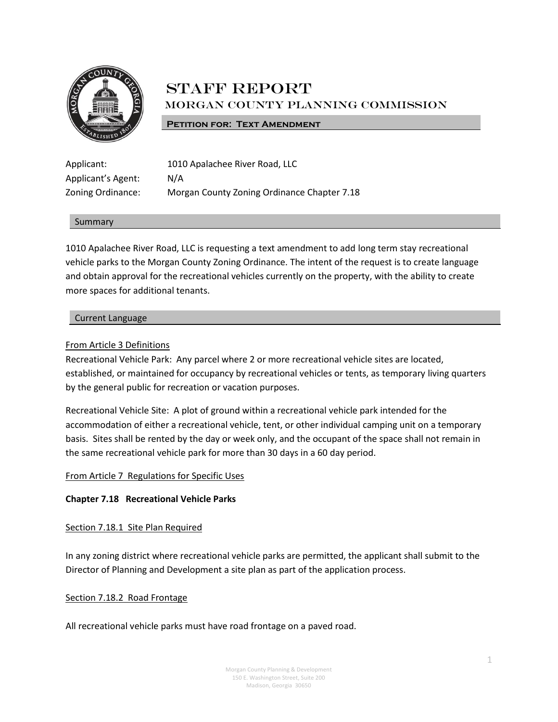

# **STAFF REPORT** Morgan County Planning Commission

#### **PETITION FOR: TEXT AMENDMENT**

Applicant's Agent: N/A

Applicant: 1010 Apalachee River Road, LLC Zoning Ordinance: Morgan County Zoning Ordinance Chapter 7.18

#### Summary

1010 Apalachee River Road, LLC is requesting a text amendment to add long term stay recreational vehicle parks to the Morgan County Zoning Ordinance. The intent of the request is to create language and obtain approval for the recreational vehicles currently on the property, with the ability to create more spaces for additional tenants.

#### Current Language

### From Article 3 Definitions

Recreational Vehicle Park: Any parcel where 2 or more recreational vehicle sites are located, established, or maintained for occupancy by recreational vehicles or tents, as temporary living quarters by the general public for recreation or vacation purposes.

Recreational Vehicle Site: A plot of ground within a recreational vehicle park intended for the accommodation of either a recreational vehicle, tent, or other individual camping unit on a temporary basis. Sites shall be rented by the day or week only, and the occupant of the space shall not remain in the same recreational vehicle park for more than 30 days in a 60 day period.

### From Article 7 Regulations for Specific Uses

### **Chapter 7.18 Recreational Vehicle Parks**

#### Section 7.18.1 Site Plan Required

In any zoning district where recreational vehicle parks are permitted, the applicant shall submit to the Director of Planning and Development a site plan as part of the application process.

#### Section 7.18.2 Road Frontage

All recreational vehicle parks must have road frontage on a paved road.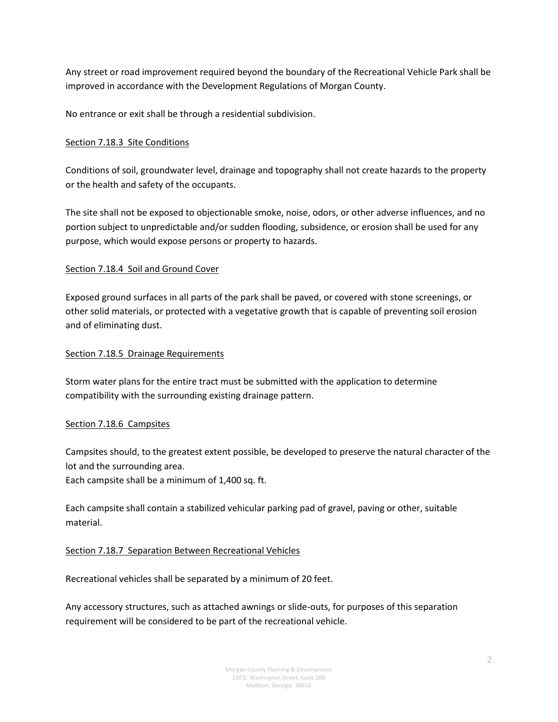Any street or road improvement required beyond the boundary of the Recreational Vehicle Park shall be improved in accordance with the Development Regulations of Morgan County.

No entrance or exit shall be through a residential subdivision.

# Section 7.18.3 Site Conditions

Conditions of soil, groundwater level, drainage and topography shall not create hazards to the property or the health and safety of the occupants.

The site shall not be exposed to objectionable smoke, noise, odors, or other adverse influences, and no portion subject to unpredictable and/or sudden flooding, subsidence, or erosion shall be used for any purpose, which would expose persons or property to hazards.

# Section 7.18.4 Soil and Ground Cover

Exposed ground surfaces in all parts of the park shall be paved, or covered with stone screenings, or other solid materials, or protected with a vegetative growth that is capable of preventing soil erosion and of eliminating dust.

### Section 7.18.5 Drainage Requirements

Storm water plans for the entire tract must be submitted with the application to determine compatibility with the surrounding existing drainage pattern.

# Section 7.18.6 Campsites

Campsites should, to the greatest extent possible, be developed to preserve the natural character of the lot and the surrounding area.

Each campsite shall be a minimum of 1,400 sq. ft.

Each campsite shall contain a stabilized vehicular parking pad of gravel, paving or other, suitable material.

# Section 7.18.7 Separation Between Recreational Vehicles

Recreational vehicles shall be separated by a minimum of 20 feet.

Any accessory structures, such as attached awnings or slide-outs, for purposes of this separation requirement will be considered to be part of the recreational vehicle.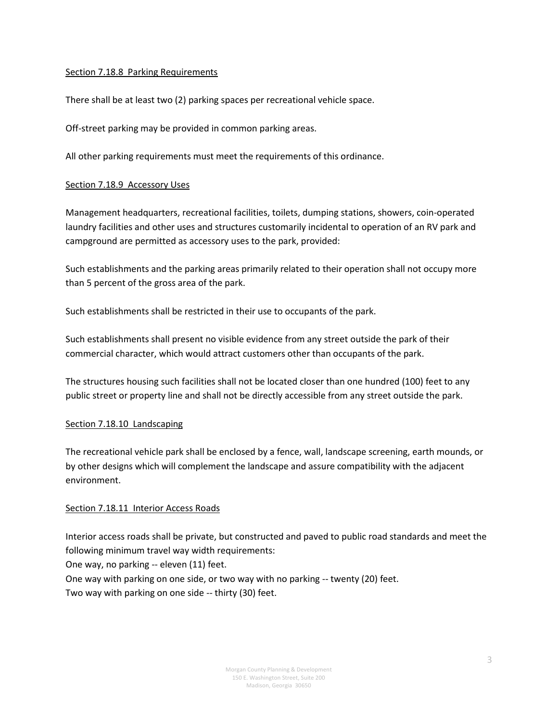### Section 7.18.8 Parking Requirements

There shall be at least two (2) parking spaces per recreational vehicle space.

Off-street parking may be provided in common parking areas.

All other parking requirements must meet the requirements of this ordinance.

### Section 7.18.9 Accessory Uses

Management headquarters, recreational facilities, toilets, dumping stations, showers, coin-operated laundry facilities and other uses and structures customarily incidental to operation of an RV park and campground are permitted as accessory uses to the park, provided:

Such establishments and the parking areas primarily related to their operation shall not occupy more than 5 percent of the gross area of the park.

Such establishments shall be restricted in their use to occupants of the park.

Such establishments shall present no visible evidence from any street outside the park of their commercial character, which would attract customers other than occupants of the park.

The structures housing such facilities shall not be located closer than one hundred (100) feet to any public street or property line and shall not be directly accessible from any street outside the park.

### Section 7.18.10 Landscaping

The recreational vehicle park shall be enclosed by a fence, wall, landscape screening, earth mounds, or by other designs which will complement the landscape and assure compatibility with the adjacent environment.

### Section 7.18.11 Interior Access Roads

Interior access roads shall be private, but constructed and paved to public road standards and meet the following minimum travel way width requirements:

One way, no parking -- eleven (11) feet.

One way with parking on one side, or two way with no parking -- twenty (20) feet.

Two way with parking on one side -- thirty (30) feet.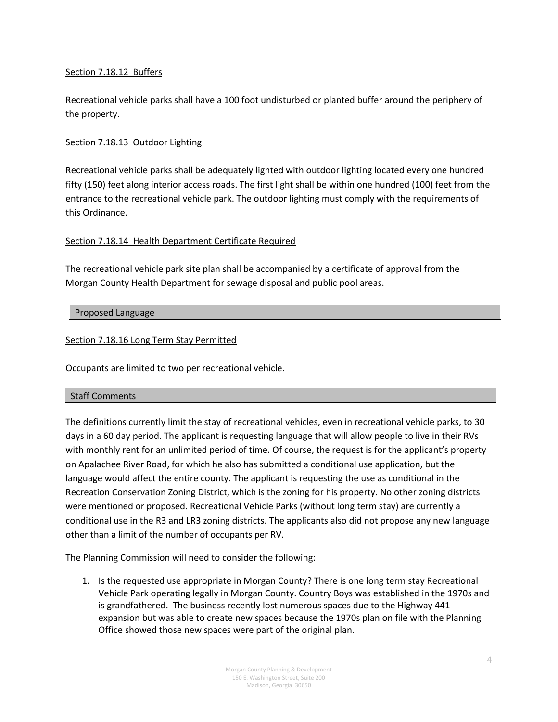### Section 7.18.12 Buffers

Recreational vehicle parks shall have a 100 foot undisturbed or planted buffer around the periphery of the property.

### Section 7.18.13 Outdoor Lighting

Recreational vehicle parks shall be adequately lighted with outdoor lighting located every one hundred fifty (150) feet along interior access roads. The first light shall be within one hundred (100) feet from the entrance to the recreational vehicle park. The outdoor lighting must comply with the requirements of this Ordinance.

# Section 7.18.14 Health Department Certificate Required

The recreational vehicle park site plan shall be accompanied by a certificate of approval from the Morgan County Health Department for sewage disposal and public pool areas.

### Proposed Language

### Section 7.18.16 Long Term Stay Permitted

Occupants are limited to two per recreational vehicle.

### Staff Comments

The definitions currently limit the stay of recreational vehicles, even in recreational vehicle parks, to 30 days in a 60 day period. The applicant is requesting language that will allow people to live in their RVs with monthly rent for an unlimited period of time. Of course, the request is for the applicant's property on Apalachee River Road, for which he also has submitted a conditional use application, but the language would affect the entire county. The applicant is requesting the use as conditional in the Recreation Conservation Zoning District, which is the zoning for his property. No other zoning districts were mentioned or proposed. Recreational Vehicle Parks (without long term stay) are currently a conditional use in the R3 and LR3 zoning districts. The applicants also did not propose any new language other than a limit of the number of occupants per RV.

The Planning Commission will need to consider the following:

1. Is the requested use appropriate in Morgan County? There is one long term stay Recreational Vehicle Park operating legally in Morgan County. Country Boys was established in the 1970s and is grandfathered. The business recently lost numerous spaces due to the Highway 441 expansion but was able to create new spaces because the 1970s plan on file with the Planning Office showed those new spaces were part of the original plan.